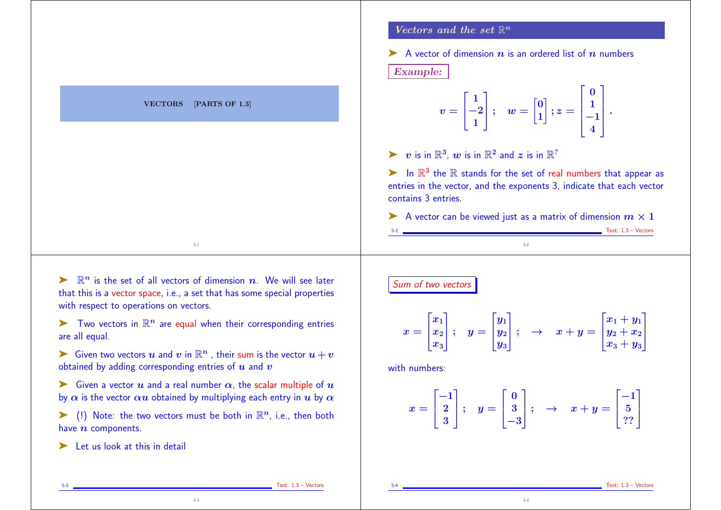|                                     | Vectors and the set $\mathbb{R}^n$                                                                                                                                                                                                                                                                       |
|-------------------------------------|----------------------------------------------------------------------------------------------------------------------------------------------------------------------------------------------------------------------------------------------------------------------------------------------------------|
|                                     | A vector of dimension $n$ is an ordered list of $n$ numbers<br><b>Example:</b>                                                                                                                                                                                                                           |
| <b>VECTORS</b><br>[PARTS OF $1.3$ ] | $v=\begin{bmatrix} 1 \ -2 \ 1 \end{bmatrix}; \quad w=\begin{bmatrix} 0 \ 1 \end{bmatrix}; z=\begin{bmatrix} 0 \ 1 \ -1 \ 4 \end{bmatrix}.$                                                                                                                                                               |
|                                     | $\triangleright$ v is in $\mathbb{R}^3$ , w is in $\mathbb{R}^2$ and z is in $\mathbb{R}^2$<br>$\blacktriangleright$ In $\mathbb{R}^3$ the $\mathbb R$ stands for the set of real numbers that appear as<br>entries in the vector, and the exponents 3, indicate that each vector<br>contains 3 entries. |
| $5-1$                               | A vector can be viewed just as a matrix of dimension $m \times 1$<br>Text: $1.3 -$ Vectors<br>$5 - 2$                                                                                                                                                                                                    |

 $\blacktriangleright$   $\mathbb{R}^n$  is the set of all vectors of dimension  $n$ . We will see later that this is a vector space, i.e., a set that has some special properties with respect to operations on vectors.

 $\blacktriangleright$  Two vectors in  $\mathbb{R}^n$  are equal when their corresponding entries are all equal.

ightharpoonup Silven two vectors  $u$  and  $v$  in  $\mathbb{R}^n$ , their sum is the vector  $u + v$ obtained by adding corresponding entries of  $u$  and  $v$ 

Siven a vector u and a real number  $\alpha$ , the scalar multiple of u by  $\alpha$  is the vector  $\alpha u$  obtained by multiplying each entry in u by  $\alpha$ 

 $\blacktriangleright$  (!) Note: the two vectors must be both in  $\mathbb{R}^n$ , i.e., then both have  $n$  components.

5-3

 $\blacktriangleright$  Let us look at this in detail

# Sum of two vectors

$$
x = \begin{bmatrix} x_1 \\ x_2 \\ x_3 \end{bmatrix}; \quad y = \begin{bmatrix} y_1 \\ y_2 \\ y_3 \end{bmatrix}; \quad \rightarrow \quad x + y = \begin{bmatrix} x_1 + y_1 \\ y_2 + x_2 \\ x_3 + y_3 \end{bmatrix}
$$

with numbers:

$$
x = \begin{bmatrix} -1 \\ 2 \\ 3 \end{bmatrix}; \quad y = \begin{bmatrix} 0 \\ 3 \\ -3 \end{bmatrix}; \quad \rightarrow \quad x + y = \begin{bmatrix} -1 \\ 5 \\ ??\end{bmatrix}
$$

5-4

Text: 1.3 – Vectors

Text: 1.3 – Vectors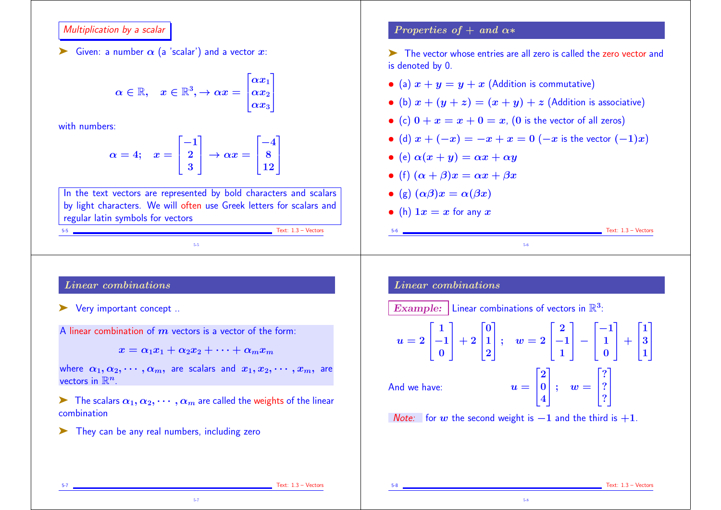#### Multiplication by a scalar

Siven: a number  $\alpha$  (a 'scalar') and a vector x:

$$
\alpha \in \mathbb{R}, \quad x \in \mathbb{R}^3, \rightarrow \alpha x = \begin{bmatrix} \alpha x_1 \\ \alpha x_2 \\ \alpha x_3 \end{bmatrix}
$$

with numbers:

$$
\alpha = 4; \quad x = \begin{bmatrix} -1 \\ 2 \\ 3 \end{bmatrix} \rightarrow \alpha x = \begin{bmatrix} -4 \\ 8 \\ 12 \end{bmatrix}
$$

In the text vectors are represented by bold characters and scalars by light characters. We will often use Greek letters for scalars and regular latin symbols for vectors

5-5

#### Properties of  $+$  and  $\alpha*$

➤ The vector whose entries are all zero is called the zero vector and is denoted by 0.

- (a)  $x + y = y + x$  (Addition is commutative)
- (b)  $x + (y + z) = (x + y) + z$  (Addition is associative)
- (c)  $0 + x = x + 0 = x$ , (0 is the vector of all zeros)
- (d)  $x + (-x) = -x + x = 0$  ( $-x$  is the vector  $(-1)x$ )
- (e)  $\alpha(x + y) = \alpha x + \alpha y$
- (f)  $(\alpha + \beta)x = \alpha x + \beta x$
- (g)  $(\alpha \beta)x = \alpha(\beta x)$
- (h)  $1x = x$  for any x

## Linear combinations

- ➤ Very important concept ..
- A linear combination of  $m$  vectors is a vector of the form:

 $x = \alpha_1 x_1 + \alpha_2 x_2 + \cdots + \alpha_m x_m$ 

where  $\alpha_1, \alpha_2, \cdots, \alpha_m$ , are scalars and  $x_1, x_2, \cdots, x_m$ , are vectors in  $\mathbb{R}^n$ .

 $\triangleright$  The scalars  $\alpha_1, \alpha_2, \cdots, \alpha_m$  are called the weights of the linear combination

5-7

➤ They can be any real numbers, including zero

## Linear combinations

Example: Linear combinations of vectors in  $\mathbb{R}^3$ :

$$
u = 2\begin{bmatrix} 1 \\ -1 \\ 0 \end{bmatrix} + 2\begin{bmatrix} 0 \\ 1 \\ 2 \end{bmatrix}; \quad w = 2\begin{bmatrix} 2 \\ -1 \\ 1 \end{bmatrix} - \begin{bmatrix} -1 \\ 1 \\ 0 \end{bmatrix} + \begin{bmatrix} 1 \\ 3 \\ 1 \end{bmatrix}
$$
  
And we have:  

$$
u = \begin{bmatrix} 2 \\ 0 \\ 4 \end{bmatrix}; \quad w = \begin{bmatrix} ? \\ ? \\ ? \end{bmatrix}
$$

5-6

Note: for w the second weight is  $-1$  and the third is  $+1$ .

Text:  $1.3 -$  Vectors

 $Text: 1.3 - Vectors$ 

Text:  $1.3 -$  Vectors

 $Text: 1.3 - Vectors$ 

5-8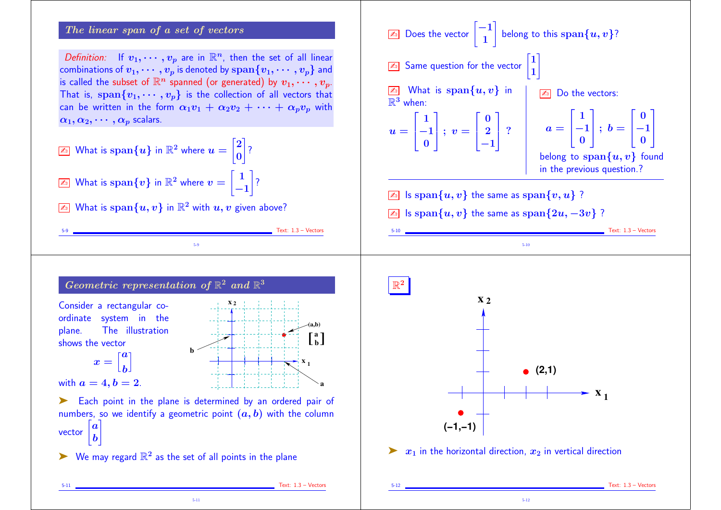### The linear span of a set of vectors

Definition: If  $v_1, \dots, v_p$  are in  $\mathbb{R}^n$ , then the set of all linear combinations of  $v_1, \cdots, v_p$  is denoted by  $\text{span}\{v_1, \cdots, v_p\}$  and is called the subset of  $\mathbb{R}^n$  spanned (or generated) by  $v_1, \cdots, v_p$ . That is,  $\text{span}\{v_1, \dots, v_p\}$  is the collection of all vectors that can be written in the form  $\alpha_1v_1 + \alpha_2v_2 + \cdots + \alpha_nv_p$  with  $\alpha_1, \alpha_2, \cdots, \alpha_n$  scalars.

$$
\boxed{\mathbb{Z}_2}
$$
 What is  $\text{span}\{u\}$  in  $\mathbb{R}^2$  where  $u = \begin{bmatrix} 2 \\ 0 \end{bmatrix}$ ?  

$$
\boxed{\mathbb{Z}_2}
$$
 What is  $\text{span}\{v\}$  in  $\mathbb{R}^2$  where  $v = \begin{bmatrix} 1 \\ -1 \end{bmatrix}$ ?

 $\boxed{\mathbb{Z}^n}$  What is span $\{u, v\}$  in  $\mathbb{R}^2$  with  $u, v$  given above?



**(−1,−1)**

 $\triangleright$   $x_1$  in the horizontal direction,  $x_2$  in vertical direction

5-12

**Geometric representation of** 
$$
\mathbb{R}^2
$$
 and  $\mathbb{R}^3$ 

\nConsider a rectangular coordinate system in the plane. The illustration shows the vector

\n
$$
x = \begin{bmatrix} a \\ b \end{bmatrix}
$$
\nwith  $a = 4, b = 2$ .\n**Each point in the plane is determined by an ordered pair of numbers, so we identify a geometric point  $(a, b)$  with the column vector  $\begin{bmatrix} a \\ b \end{bmatrix}$** 

5-9

 $\triangleright$  We may regard  $\mathbb{R}^2$  as the set of all points in the plane

5-11

5-11 Text: 1.3 – Vectors

 $Test: 1.3 - Vectors$ 

Text: 1.3 – Vectors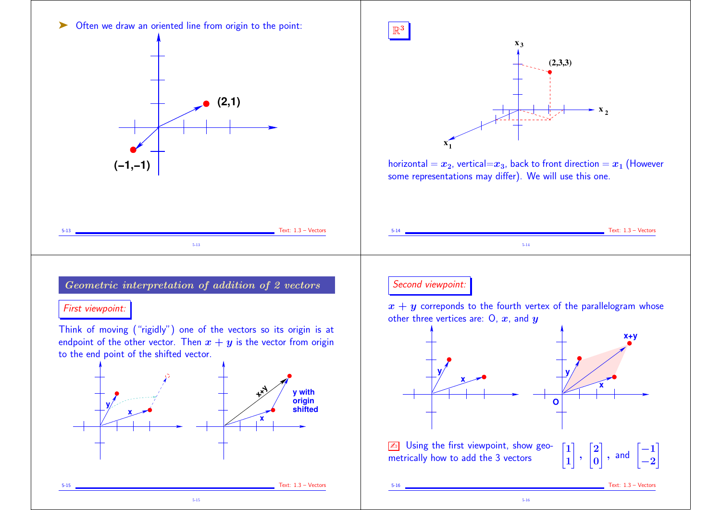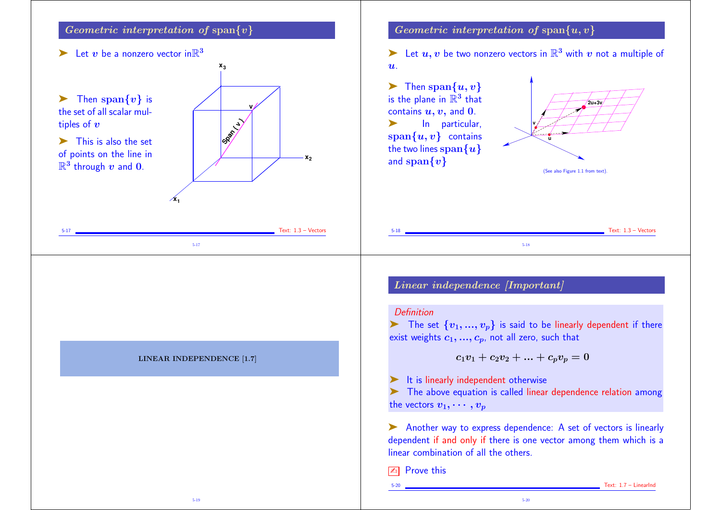